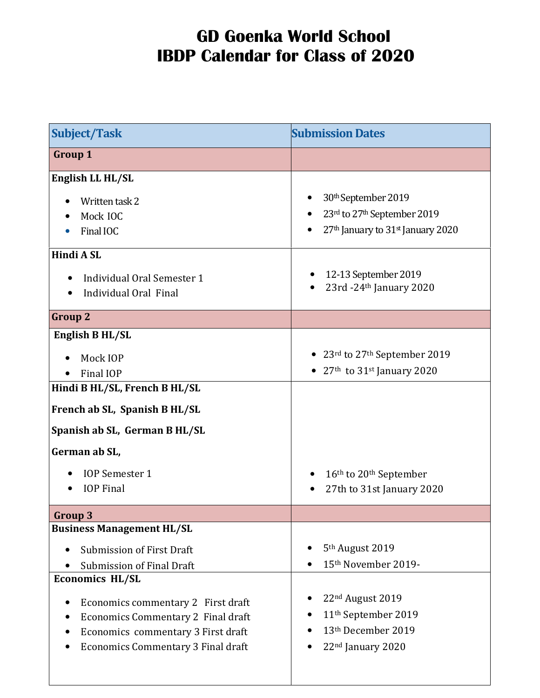| <b>Subject/Task</b>                             | <b>Submission Dates</b>                                   |
|-------------------------------------------------|-----------------------------------------------------------|
| <b>Group 1</b>                                  |                                                           |
| English LL HL/SL                                |                                                           |
| Written task 2                                  | 30 <sup>th</sup> September 2019                           |
| Mock IOC                                        | 23rd to 27th September 2019                               |
| Final IOC<br>$\bullet$                          | 27 <sup>th</sup> January to 31 <sup>st</sup> January 2020 |
| Hindi A SL                                      |                                                           |
| Individual Oral Semester 1                      | 12-13 September 2019                                      |
| Individual Oral Final                           | $23rd - 24th$ January 2020                                |
| <b>Group 2</b>                                  |                                                           |
| English B HL/SL                                 |                                                           |
| Mock IOP                                        | • 23 $rd$ to 27 $th$ September 2019                       |
| Final IOP                                       | • 27 <sup>th</sup> to 31 <sup>st</sup> January 2020       |
| Hindi B HL/SL, French B HL/SL                   |                                                           |
| French ab SL, Spanish B HL/SL                   |                                                           |
| Spanish ab SL, German B HL/SL                   |                                                           |
| German ab SL,                                   |                                                           |
| <b>IOP</b> Semester 1                           | 16 <sup>th</sup> to 20 <sup>th</sup> September            |
| <b>IOP</b> Final                                | 27th to 31st January 2020                                 |
| Group 3                                         |                                                           |
| <b>Business Management HL/SL</b>                |                                                           |
| <b>Submission of First Draft</b><br>$\bullet$   | 5 <sup>th</sup> August 2019                               |
| <b>Submission of Final Draft</b>                | 15th November 2019-                                       |
| <b>Economics HL/SL</b>                          |                                                           |
| Economics commentary 2 First draft<br>$\bullet$ | 22 <sup>nd</sup> August 2019                              |
| Economics Commentary 2 Final draft              | 11 <sup>th</sup> September 2019                           |
| Economics commentary 3 First draft              | 13th December 2019                                        |
| Economics Commentary 3 Final draft              | 22nd January 2020                                         |
|                                                 |                                                           |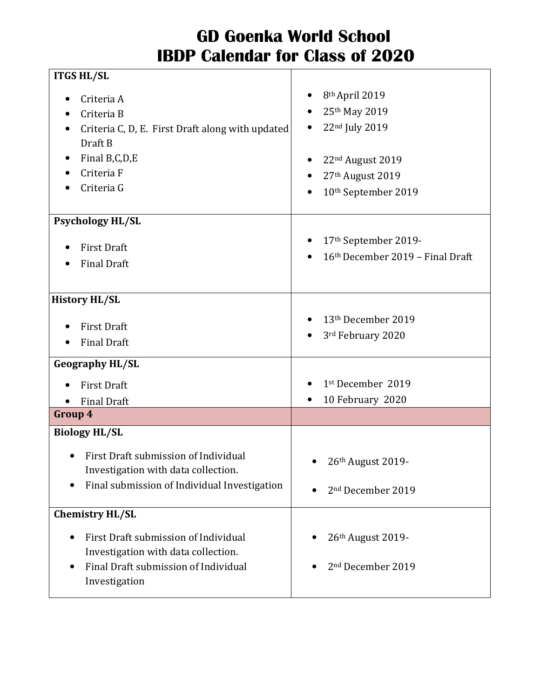| <b>ITGS HL/SL</b>                                                                                                                                   |                                                                                                                                          |
|-----------------------------------------------------------------------------------------------------------------------------------------------------|------------------------------------------------------------------------------------------------------------------------------------------|
| Criteria A<br>Criteria B<br>Criteria C, D, E. First Draft along with updated<br>Draft B<br>Final B,C,D,E<br>Criteria F<br>Criteria G                | 8 <sup>th</sup> April 2019<br>25th May 2019<br>22nd July 2019<br>22 <sup>nd</sup> August 2019<br>27th August 2019<br>10th September 2019 |
| <b>Psychology HL/SL</b>                                                                                                                             |                                                                                                                                          |
| <b>First Draft</b><br><b>Final Draft</b>                                                                                                            | 17th September 2019-<br>16th December 2019 - Final Draft                                                                                 |
| <b>History HL/SL</b>                                                                                                                                |                                                                                                                                          |
| <b>First Draft</b><br><b>Final Draft</b>                                                                                                            | 13th December 2019<br>3rd February 2020                                                                                                  |
| <b>Geography HL/SL</b>                                                                                                                              |                                                                                                                                          |
| <b>First Draft</b><br><b>Final Draft</b>                                                                                                            | 1st December 2019<br>10 February 2020                                                                                                    |
| Group 4                                                                                                                                             |                                                                                                                                          |
| <b>Biology HL/SL</b><br>First Draft submission of Individual<br>Investigation with data collection.<br>Final submission of Individual Investigation | 26th August 2019-<br>$\bullet$<br>2 <sup>nd</sup> December 2019                                                                          |
| <b>Chemistry HL/SL</b>                                                                                                                              |                                                                                                                                          |
| First Draft submission of Individual<br>$\bullet$<br>Investigation with data collection.<br>Final Draft submission of Individual<br>Investigation   | 26th August 2019-<br>2 <sup>nd</sup> December 2019                                                                                       |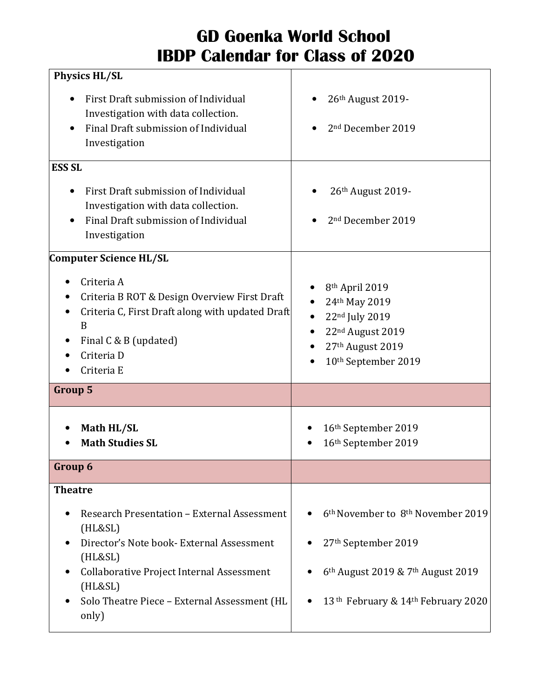| <b>Physics HL/SL</b>                                                                                                                                                                                                                             |                                                                                                                                                                                                             |
|--------------------------------------------------------------------------------------------------------------------------------------------------------------------------------------------------------------------------------------------------|-------------------------------------------------------------------------------------------------------------------------------------------------------------------------------------------------------------|
| First Draft submission of Individual<br>Investigation with data collection.<br>Final Draft submission of Individual<br>Investigation                                                                                                             | 26 <sup>th</sup> August 2019-<br>2 <sup>nd</sup> December 2019                                                                                                                                              |
| <b>ESS SL</b><br>First Draft submission of Individual<br>Investigation with data collection.<br>Final Draft submission of Individual<br>Investigation                                                                                            | 26 <sup>th</sup> August 2019-<br>2 <sup>nd</sup> December 2019                                                                                                                                              |
| Computer Science HL/SL<br>Criteria A<br>Criteria B ROT & Design Overview First Draft<br>Criteria C, First Draft along with updated Draft<br>B<br>Final C & B (updated)<br>Criteria D<br>Criteria E                                               | 8th April 2019<br>24th May 2019<br>22nd July 2019<br>22 <sup>nd</sup> August 2019<br>27th August 2019<br>10 <sup>th</sup> September 2019                                                                    |
| <b>Group 5</b>                                                                                                                                                                                                                                   |                                                                                                                                                                                                             |
| Math HL/SL<br><b>Math Studies SL</b>                                                                                                                                                                                                             | 16th September 2019<br>16th September 2019                                                                                                                                                                  |
| Group 6                                                                                                                                                                                                                                          |                                                                                                                                                                                                             |
| <b>Theatre</b><br>Research Presentation - External Assessment<br>(HL&SL)<br>Director's Note book-External Assessment<br>(HL&SL)<br>Collaborative Project Internal Assessment<br>(HL&SL)<br>Solo Theatre Piece - External Assessment (HL<br>only) | 6 <sup>th</sup> November to 8 <sup>th</sup> November 2019<br>27th September 2019<br>6 <sup>th</sup> August 2019 & 7 <sup>th</sup> August 2019<br>13 <sup>th</sup> February & 14 <sup>th</sup> February 2020 |